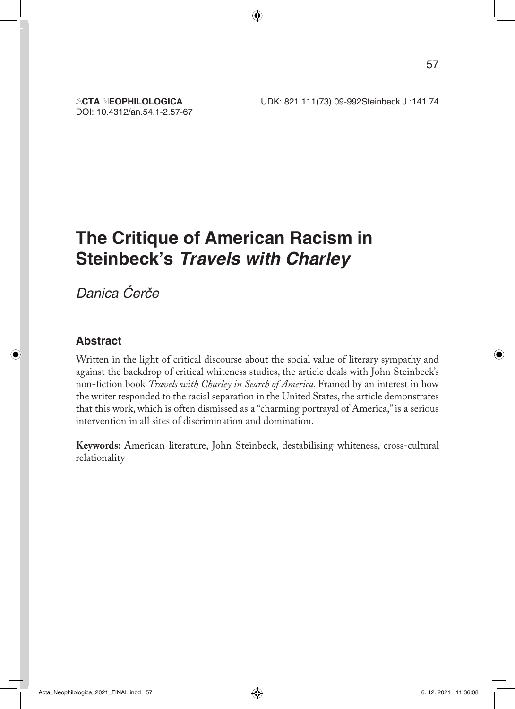DOI: 10.4312/an.54.1-2.57-67

# **The Critique of American Racism in Steinbeck's** *Travels with Charley*

Danica Čerče

#### **Abstract**

Written in the light of critical discourse about the social value of literary sympathy and against the backdrop of critical whiteness studies, the article deals with John Steinbeck's non-fiction book *Travels with Charley in Search of America.* Framed by an interest in how the writer responded to the racial separation in the United States, the article demonstrates that this work, which is often dismissed as a "charming portrayal of America," is a serious intervention in all sites of discrimination and domination.

**Keywords:** American literature, John Steinbeck, destabilising whiteness, cross-cultural relationality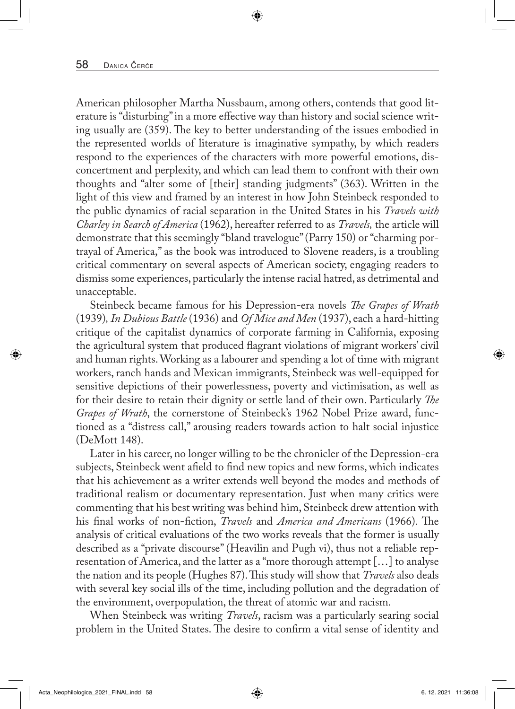American philosopher Martha Nussbaum, among others, contends that good literature is "disturbing" in a more effective way than history and social science writing usually are (359). The key to better understanding of the issues embodied in the represented worlds of literature is imaginative sympathy, by which readers respond to the experiences of the characters with more powerful emotions, disconcertment and perplexity, and which can lead them to confront with their own thoughts and "alter some of [their] standing judgments" (363). Written in the light of this view and framed by an interest in how John Steinbeck responded to the public dynamics of racial separation in the United States in his *Travels with Charley in Search of America* (1962), hereafter referred to as *Travels,* the article will demonstrate that this seemingly "bland travelogue" (Parry 150) or "charming portrayal of America," as the book was introduced to Slovene readers, is a troubling critical commentary on several aspects of American society, engaging readers to dismiss some experiences, particularly the intense racial hatred, as detrimental and unacceptable.

Steinbeck became famous for his Depression-era novels *The Grapes of Wrath*  (1939)*, In Dubious Battle* (1936) and *Of Mice and Men* (1937), each a hard-hitting critique of the capitalist dynamics of corporate farming in California, exposing the agricultural system that produced flagrant violations of migrant workers' civil and human rights. Working as a labourer and spending a lot of time with migrant workers, ranch hands and Mexican immigrants, Steinbeck was well-equipped for sensitive depictions of their powerlessness, poverty and victimisation, as well as for their desire to retain their dignity or settle land of their own. Particularly *The Grapes of Wrath*, the cornerstone of Steinbeck's 1962 Nobel Prize award, functioned as a "distress call," arousing readers towards action to halt social injustice (DeMott 148).

Later in his career, no longer willing to be the chronicler of the Depression-era subjects, Steinbeck went afield to find new topics and new forms, which indicates that his achievement as a writer extends well beyond the modes and methods of traditional realism or documentary representation. Just when many critics were commenting that his best writing was behind him, Steinbeck drew attention with his final works of non-fiction, *Travels* and *America and Americans* (1966)*.* The analysis of critical evaluations of the two works reveals that the former is usually described as a "private discourse" (Heavilin and Pugh vi), thus not a reliable representation of America, and the latter as a "more thorough attempt […] to analyse the nation and its people (Hughes 87). This study will show that *Travels* also deals with several key social ills of the time, including pollution and the degradation of the environment, overpopulation, the threat of atomic war and racism.

When Steinbeck was writing *Travels*, racism was a particularly searing social problem in the United States. The desire to confirm a vital sense of identity and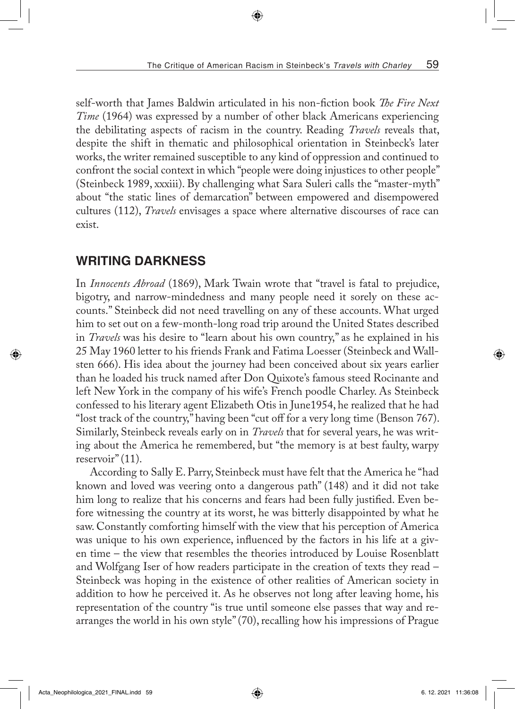self-worth that James Baldwin articulated in his non-fiction book *The Fire Next Time* (1964) was expressed by a number of other black Americans experiencing the debilitating aspects of racism in the country. Reading *Travels* reveals that, despite the shift in thematic and philosophical orientation in Steinbeck's later works, the writer remained susceptible to any kind of oppression and continued to confront the social context in which "people were doing injustices to other people" (Steinbeck 1989, xxxiii). By challenging what Sara Suleri calls the "master-myth" about "the static lines of demarcation" between empowered and disempowered cultures (112), *Travels* envisages a space where alternative discourses of race can exist.

### **WRITING DARKNESS**

In *Innocents Abroad* (1869), Mark Twain wrote that "travel is fatal to prejudice, bigotry, and narrow-mindedness and many people need it sorely on these accounts." Steinbeck did not need travelling on any of these accounts. What urged him to set out on a few-month-long road trip around the United States described in *Travels* was his desire to "learn about his own country," as he explained in his 25 May 1960 letter to his friends Frank and Fatima Loesser (Steinbeck and Wallsten 666). His idea about the journey had been conceived about six years earlier than he loaded his truck named after Don Quixote's famous steed Rocinante and left New York in the company of his wife's French poodle Charley. As Steinbeck confessed to his literary agent Elizabeth Otis in June1954, he realized that he had "lost track of the country," having been "cut off for a very long time (Benson 767). Similarly, Steinbeck reveals early on in *Travels* that for several years, he was writing about the America he remembered, but "the memory is at best faulty, warpy reservoir" (11).

According to Sally E. Parry, Steinbeck must have felt that the America he "had known and loved was veering onto a dangerous path" (148) and it did not take him long to realize that his concerns and fears had been fully justified. Even before witnessing the country at its worst, he was bitterly disappointed by what he saw. Constantly comforting himself with the view that his perception of America was unique to his own experience, influenced by the factors in his life at a given time – the view that resembles the theories introduced by Louise Rosenblatt and Wolfgang Iser of how readers participate in the creation of texts they read – Steinbeck was hoping in the existence of other realities of American society in addition to how he perceived it. As he observes not long after leaving home, his representation of the country "is true until someone else passes that way and rearranges the world in his own style" (70), recalling how his impressions of Prague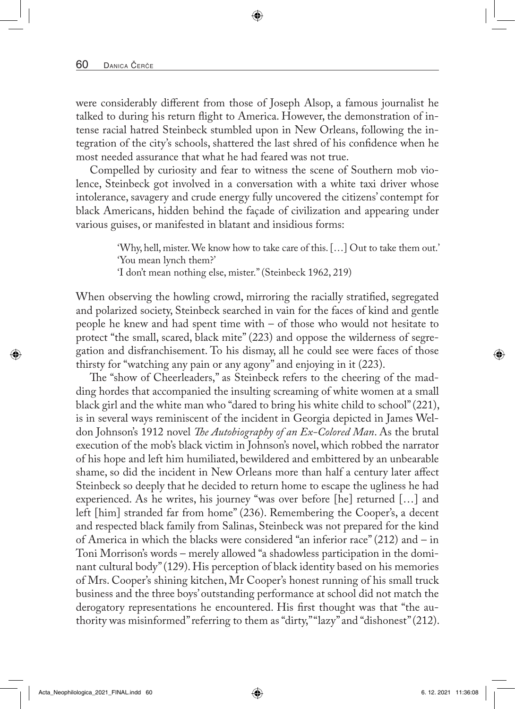were considerably different from those of Joseph Alsop, a famous journalist he talked to during his return flight to America. However, the demonstration of intense racial hatred Steinbeck stumbled upon in New Orleans, following the integration of the city's schools, shattered the last shred of his confidence when he most needed assurance that what he had feared was not true.

Compelled by curiosity and fear to witness the scene of Southern mob violence, Steinbeck got involved in a conversation with a white taxi driver whose intolerance, savagery and crude energy fully uncovered the citizens' contempt for black Americans, hidden behind the façade of civilization and appearing under various guises, or manifested in blatant and insidious forms:

> 'Why, hell, mister. We know how to take care of this. […] Out to take them out.' 'You mean lynch them?'

'I don't mean nothing else, mister." (Steinbeck 1962, 219)

When observing the howling crowd, mirroring the racially stratified, segregated and polarized society, Steinbeck searched in vain for the faces of kind and gentle people he knew and had spent time with – of those who would not hesitate to protect "the small, scared, black mite" (223) and oppose the wilderness of segregation and disfranchisement. To his dismay, all he could see were faces of those thirsty for "watching any pain or any agony" and enjoying in it (223).

The "show of Cheerleaders," as Steinbeck refers to the cheering of the madding hordes that accompanied the insulting screaming of white women at a small black girl and the white man who "dared to bring his white child to school" (221), is in several ways reminiscent of the incident in Georgia depicted in James Weldon Johnson's 1912 novel *The Autobiography of an Ex-Colored Man*. As the brutal execution of the mob's black victim in Johnson's novel, which robbed the narrator of his hope and left him humiliated, bewildered and embittered by an unbearable shame, so did the incident in New Orleans more than half a century later affect Steinbeck so deeply that he decided to return home to escape the ugliness he had experienced. As he writes, his journey "was over before [he] returned […] and left [him] stranded far from home" (236). Remembering the Cooper's, a decent and respected black family from Salinas, Steinbeck was not prepared for the kind of America in which the blacks were considered "an inferior race" (212) and – in Toni Morrison's words – merely allowed "a shadowless participation in the dominant cultural body" (129). His perception of black identity based on his memories of Mrs. Cooper's shining kitchen, Mr Cooper's honest running of his small truck business and the three boys' outstanding performance at school did not match the derogatory representations he encountered. His first thought was that "the authority was misinformed" referring to them as "dirty," "lazy" and "dishonest" (212).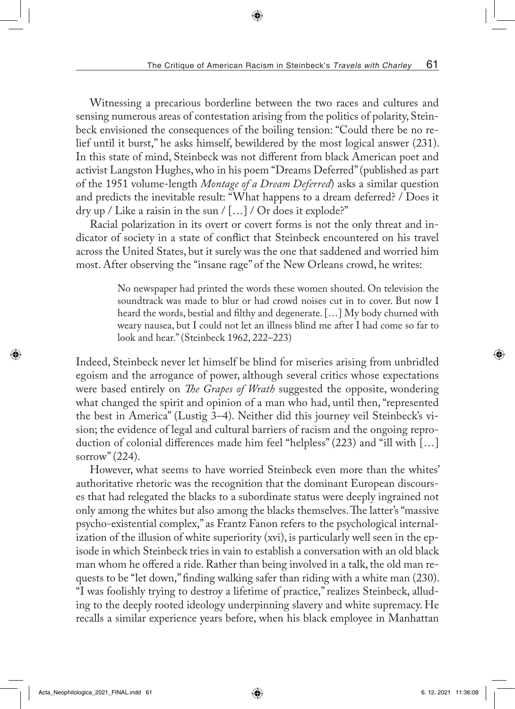Witnessing a precarious borderline between the two races and cultures and sensing numerous areas of contestation arising from the politics of polarity, Steinbeck envisioned the consequences of the boiling tension: "Could there be no relief until it burst," he asks himself, bewildered by the most logical answer (231). In this state of mind, Steinbeck was not different from black American poet and activist Langston Hughes, who in his poem "Dreams Deferred" (published as part of the 1951 volume-length *Montage of a Dream Deferred*) asks a similar question and predicts the inevitable result: "What happens to a dream deferred? / Does it dry up / Like a raisin in the sun / [...] / Or does it explode?"

Racial polarization in its overt or covert forms is not the only threat and indicator of society in a state of conflict that Steinbeck encountered on his travel across the United States, but it surely was the one that saddened and worried him most. After observing the "insane rage" of the New Orleans crowd, he writes:

> No newspaper had printed the words these women shouted. On television the soundtrack was made to blur or had crowd noises cut in to cover. But now I heard the words, bestial and filthy and degenerate. […] My body churned with weary nausea, but I could not let an illness blind me after I had come so far to look and hear." (Steinbeck 1962, 222–223)

Indeed, Steinbeck never let himself be blind for miseries arising from unbridled egoism and the arrogance of power, although several critics whose expectations were based entirely on *The Grapes of Wrath* suggested the opposite, wondering what changed the spirit and opinion of a man who had, until then, "represented the best in America" (Lustig 3–4). Neither did this journey veil Steinbeck's vision; the evidence of legal and cultural barriers of racism and the ongoing reproduction of colonial differences made him feel "helpless" (223) and "ill with […] sorrow" (224).

However, what seems to have worried Steinbeck even more than the whites' authoritative rhetoric was the recognition that the dominant European discourses that had relegated the blacks to a subordinate status were deeply ingrained not only among the whites but also among the blacks themselves. The latter's "massive psycho-existential complex," as Frantz Fanon refers to the psychological internalization of the illusion of white superiority (xvi), is particularly well seen in the episode in which Steinbeck tries in vain to establish a conversation with an old black man whom he offered a ride. Rather than being involved in a talk, the old man requests to be "let down," finding walking safer than riding with a white man (230). "I was foolishly trying to destroy a lifetime of practice," realizes Steinbeck, alluding to the deeply rooted ideology underpinning slavery and white supremacy. He recalls a similar experience years before, when his black employee in Manhattan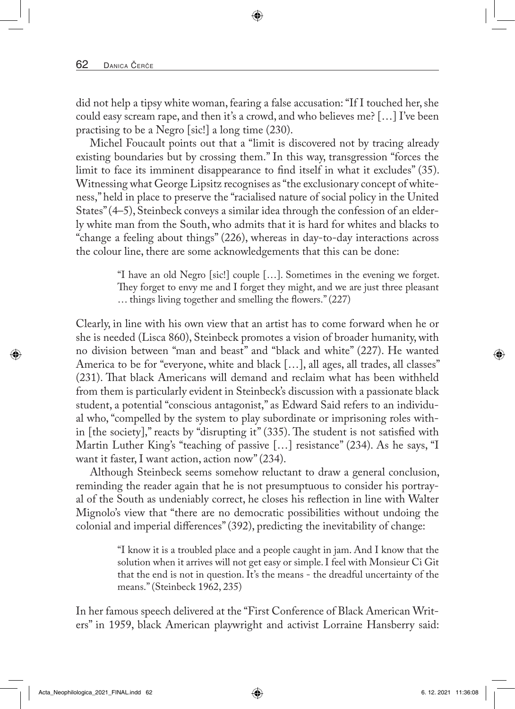did not help a tipsy white woman, fearing a false accusation: "If I touched her, she could easy scream rape, and then it's a crowd, and who believes me? […] I've been practising to be a Negro [sic!] a long time (230).

Michel Foucault points out that a "limit is discovered not by tracing already existing boundaries but by crossing them." In this way, transgression "forces the limit to face its imminent disappearance to find itself in what it excludes" (35). Witnessing what George Lipsitz recognises as "the exclusionary concept of whiteness," held in place to preserve the "racialised nature of social policy in the United States" (4–5), Steinbeck conveys a similar idea through the confession of an elderly white man from the South, who admits that it is hard for whites and blacks to "change a feeling about things" (226), whereas in day-to-day interactions across the colour line, there are some acknowledgements that this can be done:

> "I have an old Negro [sic!] couple […]. Sometimes in the evening we forget. They forget to envy me and I forget they might, and we are just three pleasant … things living together and smelling the flowers." (227)

Clearly, in line with his own view that an artist has to come forward when he or she is needed (Lisca 860), Steinbeck promotes a vision of broader humanity, with no division between "man and beast" and "black and white" (227). He wanted America to be for "everyone, white and black […], all ages, all trades, all classes" (231). That black Americans will demand and reclaim what has been withheld from them is particularly evident in Steinbeck's discussion with a passionate black student, a potential "conscious antagonist," as Edward Said refers to an individual who, "compelled by the system to play subordinate or imprisoning roles within [the society]," reacts by "disrupting it" (335). The student is not satisfied with Martin Luther King's "teaching of passive […] resistance" (234). As he says, "I want it faster, I want action, action now" (234).

Although Steinbeck seems somehow reluctant to draw a general conclusion, reminding the reader again that he is not presumptuous to consider his portrayal of the South as undeniably correct, he closes his reflection in line with Walter Mignolo's view that "there are no democratic possibilities without undoing the colonial and imperial differences" (392), predicting the inevitability of change:

> "I know it is a troubled place and a people caught in jam. And I know that the solution when it arrives will not get easy or simple. I feel with Monsieur Ci Git that the end is not in question. It's the means - the dreadful uncertainty of the means." (Steinbeck 1962, 235)

In her famous speech delivered at the "First Conference of Black American Writers" in 1959, black American playwright and activist Lorraine Hansberry said: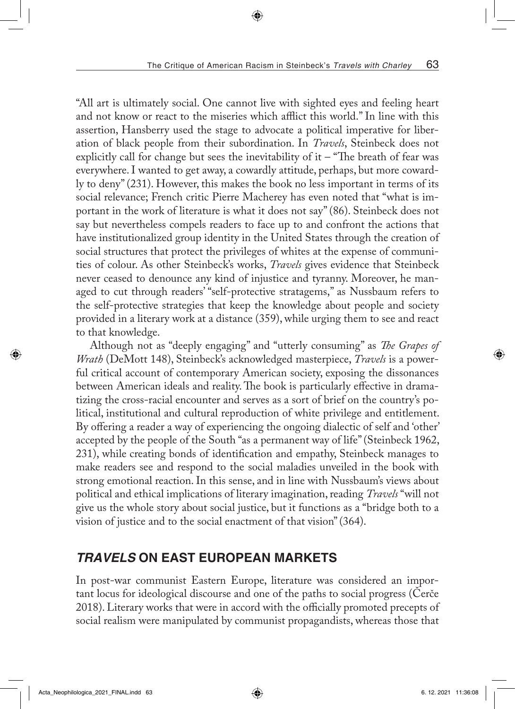"All art is ultimately social. One cannot live with sighted eyes and feeling heart and not know or react to the miseries which afflict this world." In line with this assertion, Hansberry used the stage to advocate a political imperative for liberation of black people from their subordination. In *Travels*, Steinbeck does not explicitly call for change but sees the inevitability of it  $-$  "The breath of fear was everywhere. I wanted to get away, a cowardly attitude, perhaps, but more cowardly to deny" (231). However, this makes the book no less important in terms of its social relevance; French critic Pierre Macherey has even noted that "what is important in the work of literature is what it does not say" (86). Steinbeck does not say but nevertheless compels readers to face up to and confront the actions that have institutionalized group identity in the United States through the creation of social structures that protect the privileges of whites at the expense of communities of colour. As other Steinbeck's works, *Travels* gives evidence that Steinbeck never ceased to denounce any kind of injustice and tyranny. Moreover, he managed to cut through readers' "self-protective stratagems," as Nussbaum refers to the self-protective strategies that keep the knowledge about people and society provided in a literary work at a distance (359), while urging them to see and react to that knowledge.

Although not as "deeply engaging" and "utterly consuming" as *The Grapes of Wrath* (DeMott 148), Steinbeck's acknowledged masterpiece, *Travels* is a powerful critical account of contemporary American society, exposing the dissonances between American ideals and reality. The book is particularly effective in dramatizing the cross-racial encounter and serves as a sort of brief on the country's political, institutional and cultural reproduction of white privilege and entitlement. By offering a reader a way of experiencing the ongoing dialectic of self and 'other' accepted by the people of the South "as a permanent way of life" (Steinbeck 1962, 231), while creating bonds of identification and empathy, Steinbeck manages to make readers see and respond to the social maladies unveiled in the book with strong emotional reaction. In this sense, and in line with Nussbaum's views about political and ethical implications of literary imagination, reading *Travels* "will not give us the whole story about social justice, but it functions as a "bridge both to a vision of justice and to the social enactment of that vision" (364).

## *TRAVELS* **ON EAST EUROPEAN MARKETS**

In post-war communist Eastern Europe, literature was considered an important locus for ideological discourse and one of the paths to social progress (Čerče 2018). Literary works that were in accord with the officially promoted precepts of social realism were manipulated by communist propagandists, whereas those that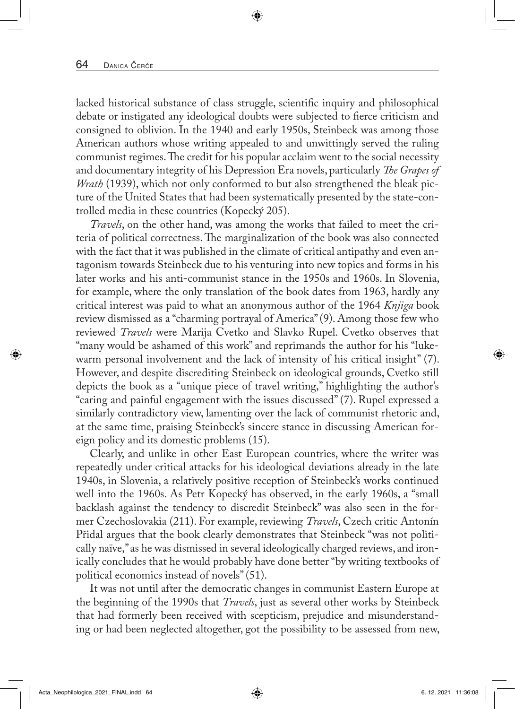lacked historical substance of class struggle, scientific inquiry and philosophical debate or instigated any ideological doubts were subjected to fierce criticism and consigned to oblivion. In the 1940 and early 1950s, Steinbeck was among those American authors whose writing appealed to and unwittingly served the ruling communist regimes. The credit for his popular acclaim went to the social necessity and documentary integrity of his Depression Era novels, particularly *The Grapes of Wrath* (1939), which not only conformed to but also strengthened the bleak picture of the United States that had been systematically presented by the state-controlled media in these countries (Kopecký 205).

*Travels*, on the other hand, was among the works that failed to meet the criteria of political correctness. The marginalization of the book was also connected with the fact that it was published in the climate of critical antipathy and even antagonism towards Steinbeck due to his venturing into new topics and forms in his later works and his anti-communist stance in the 1950s and 1960s. In Slovenia, for example, where the only translation of the book dates from 1963, hardly any critical interest was paid to what an anonymous author of the 1964 *Knjiga* book review dismissed as a "charming portrayal of America" (9). Among those few who reviewed *Travels* were Marija Cvetko and Slavko Rupel. Cvetko observes that "many would be ashamed of this work" and reprimands the author for his "lukewarm personal involvement and the lack of intensity of his critical insight" (7). However, and despite discrediting Steinbeck on ideological grounds, Cvetko still depicts the book as a "unique piece of travel writing," highlighting the author's "caring and painful engagement with the issues discussed" (7). Rupel expressed a similarly contradictory view, lamenting over the lack of communist rhetoric and, at the same time, praising Steinbeck's sincere stance in discussing American foreign policy and its domestic problems (15).

Clearly, and unlike in other East European countries, where the writer was repeatedly under critical attacks for his ideological deviations already in the late 1940s, in Slovenia, a relatively positive reception of Steinbeck's works continued well into the 1960s. As Petr Kopecký has observed, in the early 1960s, a "small backlash against the tendency to discredit Steinbeck" was also seen in the former Czechoslovakia (211). For example, reviewing *Travels*, Czech critic Antonín Přidal argues that the book clearly demonstrates that Steinbeck "was not politically naïve," as he was dismissed in several ideologically charged reviews, and ironically concludes that he would probably have done better "by writing textbooks of political economics instead of novels" (51).

It was not until after the democratic changes in communist Eastern Europe at the beginning of the 1990s that *Travels*, just as several other works by Steinbeck that had formerly been received with scepticism, prejudice and misunderstanding or had been neglected altogether, got the possibility to be assessed from new,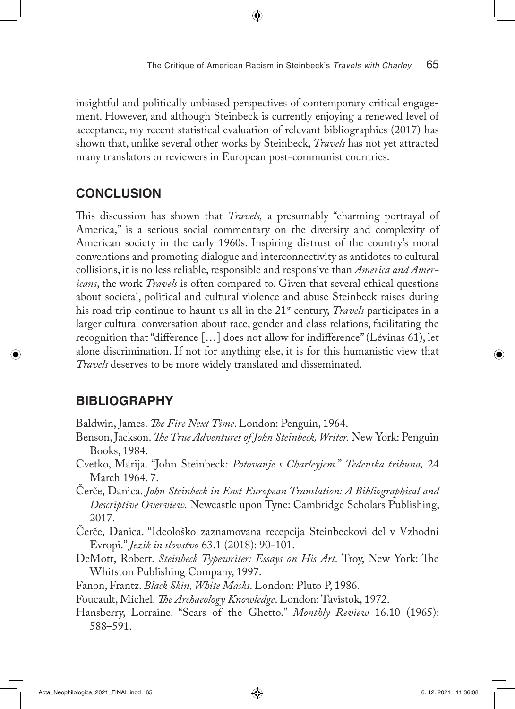insightful and politically unbiased perspectives of contemporary critical engagement. However, and although Steinbeck is currently enjoying a renewed level of acceptance, my recent statistical evaluation of relevant bibliographies (2017) has shown that, unlike several other works by Steinbeck, *Travels* has not yet attracted many translators or reviewers in European post-communist countries.

# **CONCLUSION**

This discussion has shown that *Travels,* a presumably "charming portrayal of America," is a serious social commentary on the diversity and complexity of American society in the early 1960s. Inspiring distrust of the country's moral conventions and promoting dialogue and interconnectivity as antidotes to cultural collisions, it is no less reliable, responsible and responsive than *America and Americans*, the work *Travels* is often compared to. Given that several ethical questions about societal, political and cultural violence and abuse Steinbeck raises during his road trip continue to haunt us all in the 21st century, *Travels* participates in a larger cultural conversation about race, gender and class relations, facilitating the recognition that "difference […] does not allow for indifference" (Lévinas 61), let alone discrimination. If not for anything else, it is for this humanistic view that *Travels* deserves to be more widely translated and disseminated.

# **BIBLIOGRAPHY**

Baldwin, James. *The Fire Next Time*. London: Penguin, 1964.

- Benson, Jackson. *The True Adventures of John Steinbeck, Writer.* New York: Penguin Books, 1984.
- Cvetko, Marija. "John Steinbeck: *Potovanje s Charleyjem*." *Tedenska tribuna,* 24 March 1964. 7.
- Čerče, Danica. *John Steinbeck in East European Translation: A Bibliographical and Descriptive Overview.* Newcastle upon Tyne: Cambridge Scholars Publishing, 2017.
- Čerče, Danica. "Ideološko zaznamovana recepcija Steinbeckovi del v Vzhodni Evropi." *Jezik in slovstvo* 63.1 (2018): 90-101.
- DeMott, Robert. *Steinbeck Typewriter: Essays on His Art.* Troy, New York: The Whitston Publishing Company, 1997.
- Fanon, Frantz. *Black Skin, White Masks*. London: Pluto P, 1986.
- Foucault, Michel. *The Archaeology Knowledge*. London: Tavistok, 1972.
- Hansberry, Lorraine. "Scars of the Ghetto." *Monthly Review* 16.10 (1965): 588–591.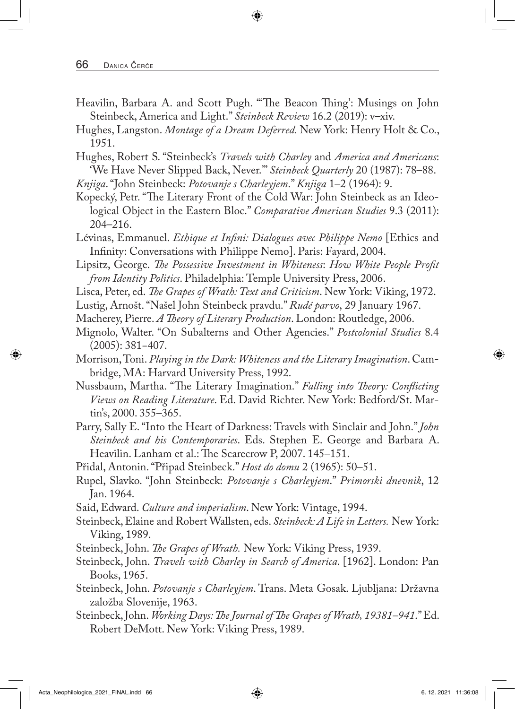- Heavilin, Barbara A. and Scott Pugh. "'The Beacon Thing': Musings on John Steinbeck, America and Light." *Steinbeck Review* 16.2 (2019): v–xiv.
- Hughes, Langston. *Montage of a Dream Deferred.* New York: Henry Holt & Co., 1951.
- Hughes, Robert S. "Steinbeck's *Travels with Charley* and *America and Americans*: 'We Have Never Slipped Back, Never.'" *Steinbeck Quarterly* 20 (1987): 78–88.
- *Knjiga*. "John Steinbeck: *Potovanje s Charleyjem*." *Knjiga* 1–2 (1964): 9.
- Kopecký, Petr. "The Literary Front of the Cold War: John Steinbeck as an Ideological Object in the Eastern Bloc." *Comparative American Studies* 9.3 (2011): 204–216.
- Lévinas, Emmanuel. *Ethique et Infini: Dialogues avec Philippe Nemo* [Ethics and Infinity: Conversations with Philippe Nemo]. Paris: Fayard, 2004.
- Lipsitz, George. *The Possessive Investment in Whiteness*: *How White People Profit from Identity Politics*. Philadelphia: Temple University Press, 2006.
- Lisca, Peter, ed. *The Grapes of Wrath: Text and Criticism*. New York: Viking, 1972.
- Lustig, Arnošt. "Našel John Steinbeck pravdu." *Rudé parvo*, 29 January 1967.
- Macherey, Pierre. *A Theory of Literary Production*. London: Routledge, 2006.
- Mignolo, Walter. "On Subalterns and Other Agencies." *Postcolonial Studies* 8.4 (2005): 381−407.
- Morrison, Toni. *Playing in the Dark: Whiteness and the Literary Imagination*. Cambridge, MA: Harvard University Press, 1992.
- Nussbaum, Martha. "The Literary Imagination." *Falling into Theory: Conflicting Views on Reading Literature*. Ed. David Richter. New York: Bedford/St. Martin's, 2000. 355–365.
- Parry, Sally E. "Into the Heart of Darkness: Travels with Sinclair and John." *John Steinbeck and his Contemporaries*. Eds. Stephen E. George and Barbara A. Heavilin. Lanham et al.: The Scarecrow P, 2007. 145–151.
- Přidal, Antonin. "Připad Steinbeck." *Host do domu* 2 (1965): 50–51.
- Rupel, Slavko. "John Steinbeck: *Potovanje s Charleyjem*." *Primorski dnevnik*, 12 Jan. 1964.
- Said, Edward. *Culture and imperialism*. New York: Vintage, 1994.
- Steinbeck, Elaine and Robert Wallsten, eds. *Steinbeck: A Life in Letters.* New York: Viking, 1989.
- Steinbeck, John. *The Grapes of Wrath.* New York: Viking Press, 1939.
- Steinbeck, John. *Travels with Charley in Search of America*. [1962]. London: Pan Books, 1965.
- Steinbeck, John. *Potovanje s Charleyjem*. Trans. Meta Gosak. Ljubljana: Državna založba Slovenije, 1963.
- Steinbeck, John. *Working Days: The Journal of The Grapes of Wrath, 19381–941*." Ed. Robert DeMott. New York: Viking Press, 1989.